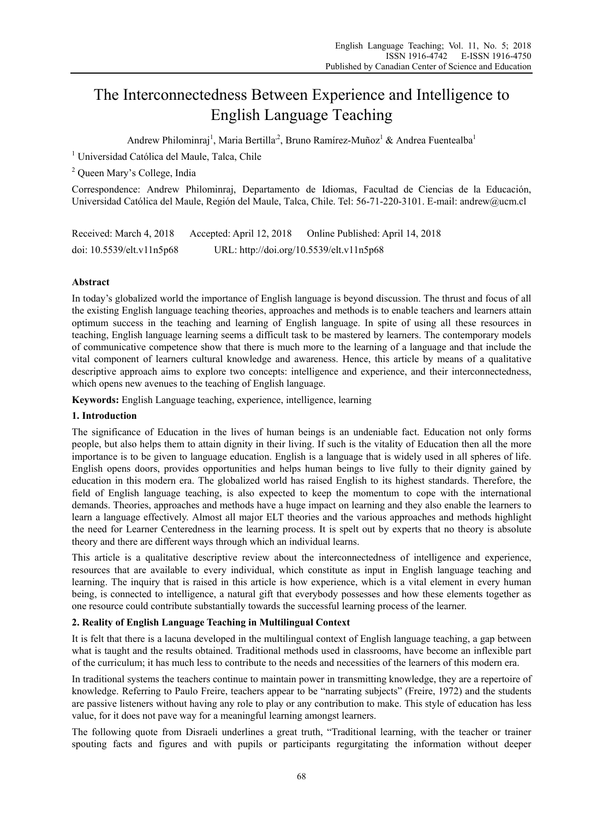# The Interconnectedness Between Experience and Intelligence to English Language Teaching

Andrew Philominraj<sup>1</sup>, Maria Bertilla<sup>2</sup>, Bruno Ramírez-Muñoz<sup>1</sup> & Andrea Fuentealba<sup>1</sup>

<sup>1</sup> Universidad Católica del Maule, Talca, Chile

<sup>2</sup> Queen Mary's College, India

Correspondence: Andrew Philominraj, Departamento de Idiomas, Facultad de Ciencias de la Educación, Universidad Católica del Maule, Región del Maule, Talca, Chile. Tel: 56-71-220-3101. E-mail: andrew@ucm.cl

| Received: March 4, 2018         | Accepted: April 12, 2018                 | Online Published: April 14, 2018 |
|---------------------------------|------------------------------------------|----------------------------------|
| doi: $10.5539$ /elt.v $11n5p68$ | URL: http://doi.org/10.5539/elt.v11n5p68 |                                  |

### **Abstract**

In today's globalized world the importance of English language is beyond discussion. The thrust and focus of all the existing English language teaching theories, approaches and methods is to enable teachers and learners attain optimum success in the teaching and learning of English language. In spite of using all these resources in teaching, English language learning seems a difficult task to be mastered by learners. The contemporary models of communicative competence show that there is much more to the learning of a language and that include the vital component of learners cultural knowledge and awareness. Hence, this article by means of a qualitative descriptive approach aims to explore two concepts: intelligence and experience, and their interconnectedness, which opens new avenues to the teaching of English language.

**Keywords:** English Language teaching, experience, intelligence, learning

#### **1. Introduction**

The significance of Education in the lives of human beings is an undeniable fact. Education not only forms people, but also helps them to attain dignity in their living. If such is the vitality of Education then all the more importance is to be given to language education. English is a language that is widely used in all spheres of life. English opens doors, provides opportunities and helps human beings to live fully to their dignity gained by education in this modern era. The globalized world has raised English to its highest standards. Therefore, the field of English language teaching, is also expected to keep the momentum to cope with the international demands. Theories, approaches and methods have a huge impact on learning and they also enable the learners to learn a language effectively. Almost all major ELT theories and the various approaches and methods highlight the need for Learner Centeredness in the learning process. It is spelt out by experts that no theory is absolute theory and there are different ways through which an individual learns.

This article is a qualitative descriptive review about the interconnectedness of intelligence and experience, resources that are available to every individual, which constitute as input in English language teaching and learning. The inquiry that is raised in this article is how experience, which is a vital element in every human being, is connected to intelligence, a natural gift that everybody possesses and how these elements together as one resource could contribute substantially towards the successful learning process of the learner.

## **2. Reality of English Language Teaching in Multilingual Context**

It is felt that there is a lacuna developed in the multilingual context of English language teaching, a gap between what is taught and the results obtained. Traditional methods used in classrooms, have become an inflexible part of the curriculum; it has much less to contribute to the needs and necessities of the learners of this modern era.

In traditional systems the teachers continue to maintain power in transmitting knowledge, they are a repertoire of knowledge. Referring to Paulo Freire, teachers appear to be "narrating subjects" (Freire, 1972) and the students are passive listeners without having any role to play or any contribution to make. This style of education has less value, for it does not pave way for a meaningful learning amongst learners.

The following quote from Disraeli underlines a great truth, "Traditional learning, with the teacher or trainer spouting facts and figures and with pupils or participants regurgitating the information without deeper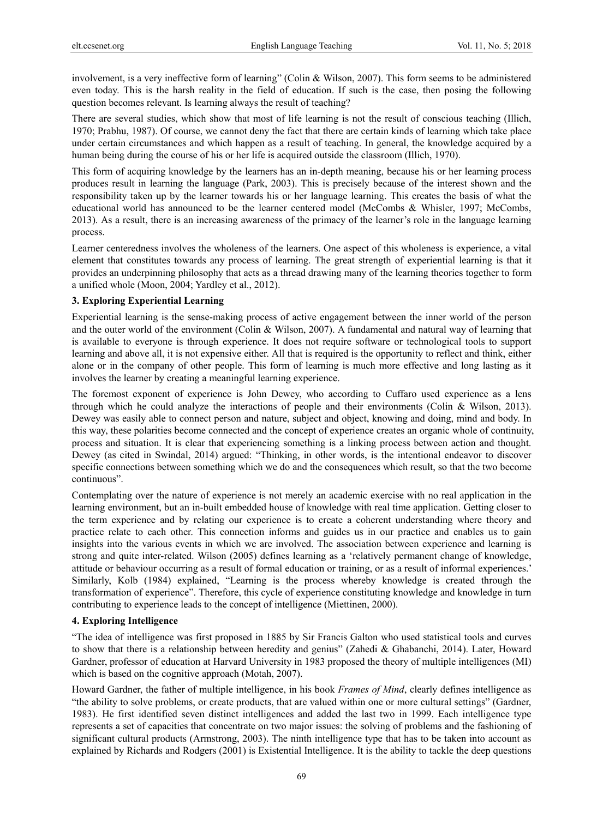involvement, is a very ineffective form of learning" (Colin & Wilson, 2007). This form seems to be administered even today. This is the harsh reality in the field of education. If such is the case, then posing the following question becomes relevant. Is learning always the result of teaching?

There are several studies, which show that most of life learning is not the result of conscious teaching (Illich, 1970; Prabhu, 1987). Of course, we cannot deny the fact that there are certain kinds of learning which take place under certain circumstances and which happen as a result of teaching. In general, the knowledge acquired by a human being during the course of his or her life is acquired outside the classroom (Illich, 1970).

This form of acquiring knowledge by the learners has an in-depth meaning, because his or her learning process produces result in learning the language (Park, 2003). This is precisely because of the interest shown and the responsibility taken up by the learner towards his or her language learning. This creates the basis of what the educational world has announced to be the learner centered model (McCombs & Whisler, 1997; McCombs, 2013). As a result, there is an increasing awareness of the primacy of the learner's role in the language learning process.

Learner centeredness involves the wholeness of the learners. One aspect of this wholeness is experience, a vital element that constitutes towards any process of learning. The great strength of experiential learning is that it provides an underpinning philosophy that acts as a thread drawing many of the learning theories together to form a unified whole (Moon, 2004; Yardley et al., 2012).

### **3. Exploring Experiential Learning**

Experiential learning is the sense-making process of active engagement between the inner world of the person and the outer world of the environment (Colin & Wilson, 2007). A fundamental and natural way of learning that is available to everyone is through experience. It does not require software or technological tools to support learning and above all, it is not expensive either. All that is required is the opportunity to reflect and think, either alone or in the company of other people. This form of learning is much more effective and long lasting as it involves the learner by creating a meaningful learning experience.

The foremost exponent of experience is John Dewey, who according to Cuffaro used experience as a lens through which he could analyze the interactions of people and their environments (Colin & Wilson, 2013). Dewey was easily able to connect person and nature, subject and object, knowing and doing, mind and body. In this way, these polarities become connected and the concept of experience creates an organic whole of continuity, process and situation. It is clear that experiencing something is a linking process between action and thought. Dewey (as cited in Swindal, 2014) argued: "Thinking, in other words, is the intentional endeavor to discover specific connections between something which we do and the consequences which result, so that the two become continuous".

Contemplating over the nature of experience is not merely an academic exercise with no real application in the learning environment, but an in-built embedded house of knowledge with real time application. Getting closer to the term experience and by relating our experience is to create a coherent understanding where theory and practice relate to each other. This connection informs and guides us in our practice and enables us to gain insights into the various events in which we are involved. The association between experience and learning is strong and quite inter-related. Wilson (2005) defines learning as a 'relatively permanent change of knowledge, attitude or behaviour occurring as a result of formal education or training, or as a result of informal experiences.' Similarly, Kolb (1984) explained, "Learning is the process whereby knowledge is created through the transformation of experience". Therefore, this cycle of experience constituting knowledge and knowledge in turn contributing to experience leads to the concept of intelligence (Miettinen, 2000).

### **4. Exploring Intelligence**

"The idea of intelligence was first proposed in 1885 by Sir Francis Galton who used statistical tools and curves to show that there is a relationship between heredity and genius" (Zahedi & Ghabanchi, 2014). Later, Howard Gardner, professor of education at Harvard University in 1983 proposed the theory of multiple intelligences (MI) which is based on the cognitive approach (Motah, 2007).

Howard Gardner, the father of multiple intelligence, in his book *Frames of Mind*, clearly defines intelligence as "the ability to solve problems, or create products, that are valued within one or more cultural settings" (Gardner, 1983). He first identified seven distinct intelligences and added the last two in 1999. Each intelligence type represents a set of capacities that concentrate on two major issues: the solving of problems and the fashioning of significant cultural products (Armstrong, 2003). The ninth intelligence type that has to be taken into account as explained by Richards and Rodgers (2001) is Existential Intelligence. It is the ability to tackle the deep questions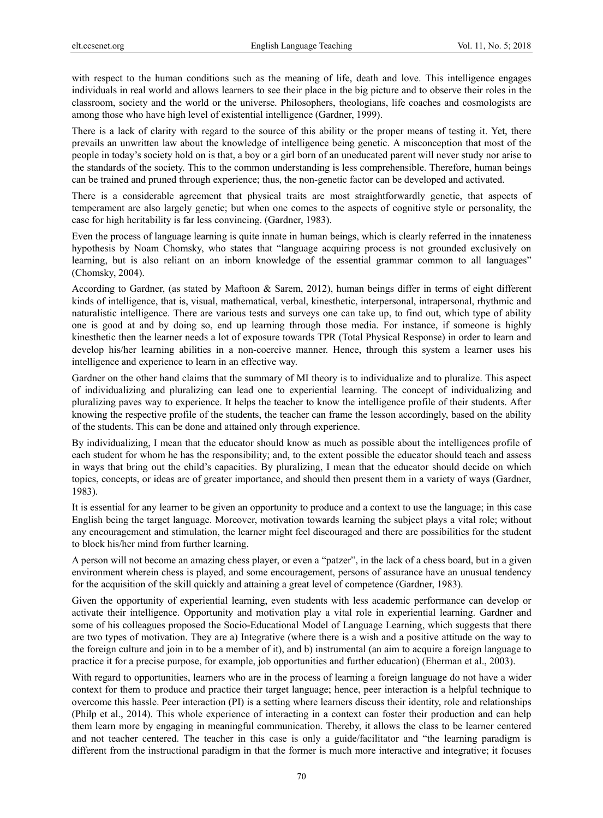with respect to the human conditions such as the meaning of life, death and love. This intelligence engages individuals in real world and allows learners to see their place in the big picture and to observe their roles in the classroom, society and the world or the universe. Philosophers, theologians, life coaches and cosmologists are among those who have high level of existential intelligence (Gardner, 1999).

There is a lack of clarity with regard to the source of this ability or the proper means of testing it. Yet, there prevails an unwritten law about the knowledge of intelligence being genetic. A misconception that most of the people in today's society hold on is that, a boy or a girl born of an uneducated parent will never study nor arise to the standards of the society. This to the common understanding is less comprehensible. Therefore, human beings can be trained and pruned through experience; thus, the non-genetic factor can be developed and activated.

There is a considerable agreement that physical traits are most straightforwardly genetic, that aspects of temperament are also largely genetic; but when one comes to the aspects of cognitive style or personality, the case for high heritability is far less convincing. (Gardner, 1983).

Even the process of language learning is quite innate in human beings, which is clearly referred in the innateness hypothesis by Noam Chomsky, who states that "language acquiring process is not grounded exclusively on learning, but is also reliant on an inborn knowledge of the essential grammar common to all languages" (Chomsky, 2004).

According to Gardner, (as stated by Maftoon & Sarem, 2012), human beings differ in terms of eight different kinds of intelligence, that is, visual, mathematical, verbal, kinesthetic, interpersonal, intrapersonal, rhythmic and naturalistic intelligence. There are various tests and surveys one can take up, to find out, which type of ability one is good at and by doing so, end up learning through those media. For instance, if someone is highly kinesthetic then the learner needs a lot of exposure towards TPR (Total Physical Response) in order to learn and develop his/her learning abilities in a non-coercive manner. Hence, through this system a learner uses his intelligence and experience to learn in an effective way.

Gardner on the other hand claims that the summary of MI theory is to individualize and to pluralize. This aspect of individualizing and pluralizing can lead one to experiential learning. The concept of individualizing and pluralizing paves way to experience. It helps the teacher to know the intelligence profile of their students. After knowing the respective profile of the students, the teacher can frame the lesson accordingly, based on the ability of the students. This can be done and attained only through experience.

By individualizing, I mean that the educator should know as much as possible about the intelligences profile of each student for whom he has the responsibility; and, to the extent possible the educator should teach and assess in ways that bring out the child's capacities. By pluralizing, I mean that the educator should decide on which topics, concepts, or ideas are of greater importance, and should then present them in a variety of ways (Gardner, 1983).

It is essential for any learner to be given an opportunity to produce and a context to use the language; in this case English being the target language. Moreover, motivation towards learning the subject plays a vital role; without any encouragement and stimulation, the learner might feel discouraged and there are possibilities for the student to block his/her mind from further learning.

A person will not become an amazing chess player, or even a "patzer", in the lack of a chess board, but in a given environment wherein chess is played, and some encouragement, persons of assurance have an unusual tendency for the acquisition of the skill quickly and attaining a great level of competence (Gardner, 1983).

Given the opportunity of experiential learning, even students with less academic performance can develop or activate their intelligence. Opportunity and motivation play a vital role in experiential learning. Gardner and some of his colleagues proposed the Socio-Educational Model of Language Learning, which suggests that there are two types of motivation. They are a) Integrative (where there is a wish and a positive attitude on the way to the foreign culture and join in to be a member of it), and b) instrumental (an aim to acquire a foreign language to practice it for a precise purpose, for example, job opportunities and further education) (Eherman et al., 2003).

With regard to opportunities, learners who are in the process of learning a foreign language do not have a wider context for them to produce and practice their target language; hence, peer interaction is a helpful technique to overcome this hassle. Peer interaction (PI) is a setting where learners discuss their identity, role and relationships (Philp et al., 2014). This whole experience of interacting in a context can foster their production and can help them learn more by engaging in meaningful communication. Thereby, it allows the class to be learner centered and not teacher centered. The teacher in this case is only a guide/facilitator and "the learning paradigm is different from the instructional paradigm in that the former is much more interactive and integrative; it focuses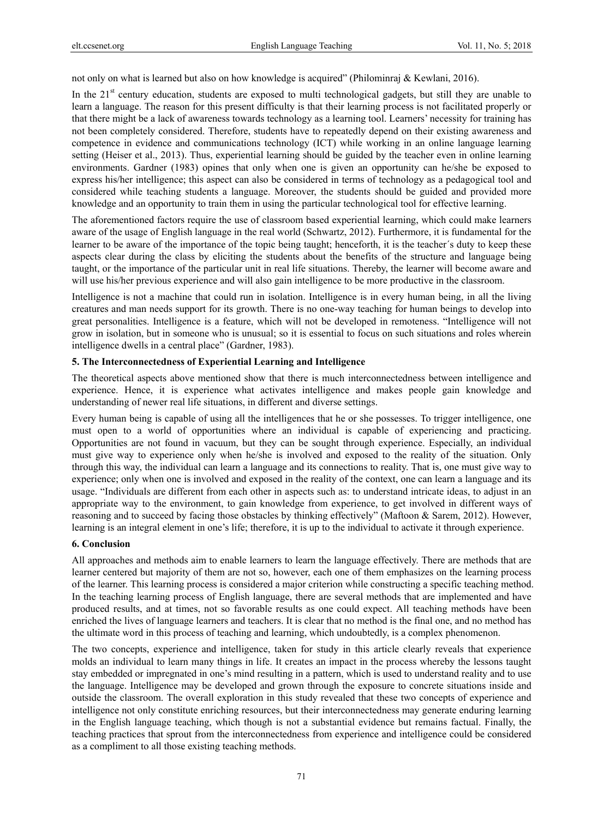not only on what is learned but also on how knowledge is acquired" (Philominraj & Kewlani, 2016).

In the  $21<sup>st</sup>$  century education, students are exposed to multi technological gadgets, but still they are unable to learn a language. The reason for this present difficulty is that their learning process is not facilitated properly or that there might be a lack of awareness towards technology as a learning tool. Learners' necessity for training has not been completely considered. Therefore, students have to repeatedly depend on their existing awareness and competence in evidence and communications technology (ICT) while working in an online language learning setting (Heiser et al., 2013). Thus, experiential learning should be guided by the teacher even in online learning environments. Gardner (1983) opines that only when one is given an opportunity can he/she be exposed to express his/her intelligence; this aspect can also be considered in terms of technology as a pedagogical tool and considered while teaching students a language. Moreover, the students should be guided and provided more knowledge and an opportunity to train them in using the particular technological tool for effective learning.

The aforementioned factors require the use of classroom based experiential learning, which could make learners aware of the usage of English language in the real world (Schwartz, 2012). Furthermore, it is fundamental for the learner to be aware of the importance of the topic being taught; henceforth, it is the teacher´s duty to keep these aspects clear during the class by eliciting the students about the benefits of the structure and language being taught, or the importance of the particular unit in real life situations. Thereby, the learner will become aware and will use his/her previous experience and will also gain intelligence to be more productive in the classroom.

Intelligence is not a machine that could run in isolation. Intelligence is in every human being, in all the living creatures and man needs support for its growth. There is no one-way teaching for human beings to develop into great personalities. Intelligence is a feature, which will not be developed in remoteness. "Intelligence will not grow in isolation, but in someone who is unusual; so it is essential to focus on such situations and roles wherein intelligence dwells in a central place" (Gardner, 1983).

### **5. The Interconnectedness of Experiential Learning and Intelligence**

The theoretical aspects above mentioned show that there is much interconnectedness between intelligence and experience. Hence, it is experience what activates intelligence and makes people gain knowledge and understanding of newer real life situations, in different and diverse settings.

Every human being is capable of using all the intelligences that he or she possesses. To trigger intelligence, one must open to a world of opportunities where an individual is capable of experiencing and practicing. Opportunities are not found in vacuum, but they can be sought through experience. Especially, an individual must give way to experience only when he/she is involved and exposed to the reality of the situation. Only through this way, the individual can learn a language and its connections to reality. That is, one must give way to experience; only when one is involved and exposed in the reality of the context, one can learn a language and its usage. "Individuals are different from each other in aspects such as: to understand intricate ideas, to adjust in an appropriate way to the environment, to gain knowledge from experience, to get involved in different ways of reasoning and to succeed by facing those obstacles by thinking effectively" (Maftoon & Sarem, 2012). However, learning is an integral element in one's life; therefore, it is up to the individual to activate it through experience.

#### **6. Conclusion**

All approaches and methods aim to enable learners to learn the language effectively. There are methods that are learner centered but majority of them are not so, however, each one of them emphasizes on the learning process of the learner. This learning process is considered a major criterion while constructing a specific teaching method. In the teaching learning process of English language, there are several methods that are implemented and have produced results, and at times, not so favorable results as one could expect. All teaching methods have been enriched the lives of language learners and teachers. It is clear that no method is the final one, and no method has the ultimate word in this process of teaching and learning, which undoubtedly, is a complex phenomenon.

The two concepts, experience and intelligence, taken for study in this article clearly reveals that experience molds an individual to learn many things in life. It creates an impact in the process whereby the lessons taught stay embedded or impregnated in one's mind resulting in a pattern, which is used to understand reality and to use the language. Intelligence may be developed and grown through the exposure to concrete situations inside and outside the classroom. The overall exploration in this study revealed that these two concepts of experience and intelligence not only constitute enriching resources, but their interconnectedness may generate enduring learning in the English language teaching, which though is not a substantial evidence but remains factual. Finally, the teaching practices that sprout from the interconnectedness from experience and intelligence could be considered as a compliment to all those existing teaching methods.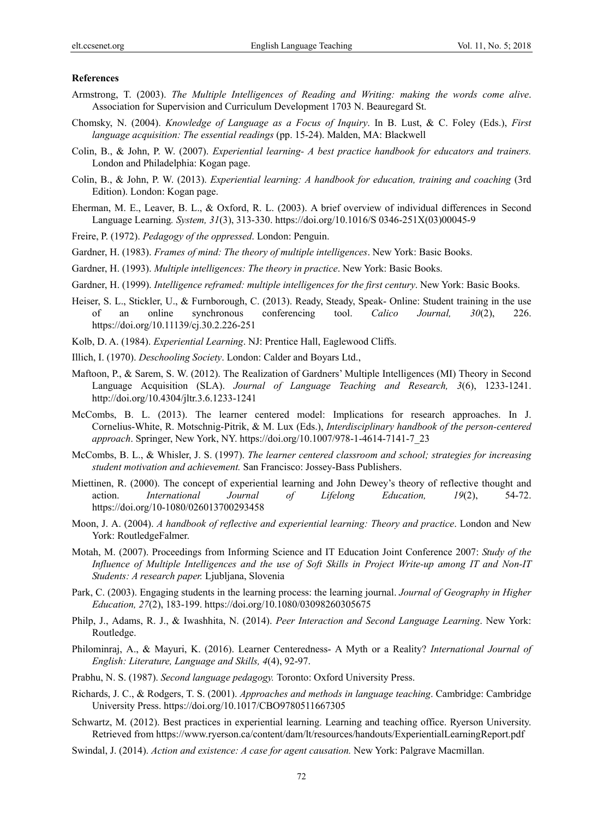#### **References**

- Armstrong, T. (2003). *The Multiple Intelligences of Reading and Writing: making the words come alive*. Association for Supervision and Curriculum Development 1703 N. Beauregard St.
- Chomsky, N. (2004). *Knowledge of Language as a Focus of Inquiry*. In B. Lust, & C. Foley (Eds.), *First language acquisition: The essential readings* (pp. 15-24). Malden, MA: Blackwell
- Colin, B., & John, P. W. (2007). *Experiential learning- A best practice handbook for educators and trainers.* London and Philadelphia: Kogan page.
- Colin, B., & John, P. W. (2013). *Experiential learning: A handbook for education, training and coaching* (3rd Edition). London: Kogan page.
- Eherman, M. E., Leaver, B. L., & Oxford, R. L. (2003). A brief overview of individual differences in Second Language Learning*. System, 31*(3), 313-330. https://doi.org/10.1016/S 0346-251X(03)00045-9
- Freire, P. (1972). *Pedagogy of the oppressed*. London: Penguin.
- Gardner, H. (1983). *Frames of mind: The theory of multiple intelligences*. New York: Basic Books.
- Gardner, H. (1993). *Multiple intelligences: The theory in practice*. New York: Basic Books.
- Gardner, H. (1999). *Intelligence reframed: multiple intelligences for the first century*. New York: Basic Books.
- Heiser, S. L., Stickler, U., & Furnborough, C. (2013). Ready, Steady, Speak- Online: Student training in the use of an online synchronous conferencing tool. *Calico Journal, 30*(2), 226. https://doi.org/10.11139/cj.30.2.226-251
- Kolb, D. A. (1984). *Experiential Learning*. NJ: Prentice Hall, Eaglewood Cliffs.
- Illich, I. (1970). *Deschooling Society*. London: Calder and Boyars Ltd.,
- Maftoon, P., & Sarem, S. W. (2012). The Realization of Gardners' Multiple Intelligences (MI) Theory in Second Language Acquisition (SLA). *Journal of Language Teaching and Research, 3*(6), 1233-1241. http://doi.org/10.4304/jltr.3.6.1233-1241
- McCombs, B. L. (2013). The learner centered model: Implications for research approaches. In J. Cornelius-White, R. Motschnig-Pitrik, & M. Lux (Eds.), *Interdisciplinary handbook of the person-centered approach*. Springer, New York, NY. https://doi.org/10.1007/978-1-4614-7141-7\_23
- McCombs, B. L., & Whisler, J. S. (1997). *The learner centered classroom and school; strategies for increasing student motivation and achievement.* San Francisco: Jossey-Bass Publishers.
- Miettinen, R. (2000). The concept of experiential learning and John Dewey's theory of reflective thought and action. *International Journal of Lifelong Education, 19*(2), 54-72. https://doi.org/10-1080/026013700293458
- Moon, J. A. (2004). *A handbook of reflective and experiential learning: Theory and practice*. London and New York: RoutledgeFalmer.
- Motah, M. (2007). Proceedings from Informing Science and IT Education Joint Conference 2007: *Study of the Influence of Multiple Intelligences and the use of Soft Skills in Project Write-up among IT and Non-IT Students: A research paper.* Ljubljana, Slovenia
- Park, C. (2003). Engaging students in the learning process: the learning journal. *Journal of Geography in Higher Education, 27*(2), 183-199. https://doi.org/10.1080/03098260305675
- Philp, J., Adams, R. J., & Iwashhita, N. (2014). *Peer Interaction and Second Language Learning*. New York: Routledge.
- Philominraj, A., & Mayuri, K. (2016). Learner Centeredness- A Myth or a Reality? *International Journal of English: Literature, Language and Skills, 4*(4), 92-97.
- Prabhu, N. S. (1987). *Second language pedagogy.* Toronto: Oxford University Press.
- Richards, J. C., & Rodgers, T. S. (2001). *Approaches and methods in language teaching*. Cambridge: Cambridge University Press. https://doi.org/10.1017/CBO9780511667305
- Schwartz, M. (2012). Best practices in experiential learning. Learning and teaching office. Ryerson University. Retrieved from https://www.ryerson.ca/content/dam/lt/resources/handouts/ExperientialLearningReport.pdf
- Swindal, J. (2014). *Action and existence: A case for agent causation.* New York: Palgrave Macmillan.